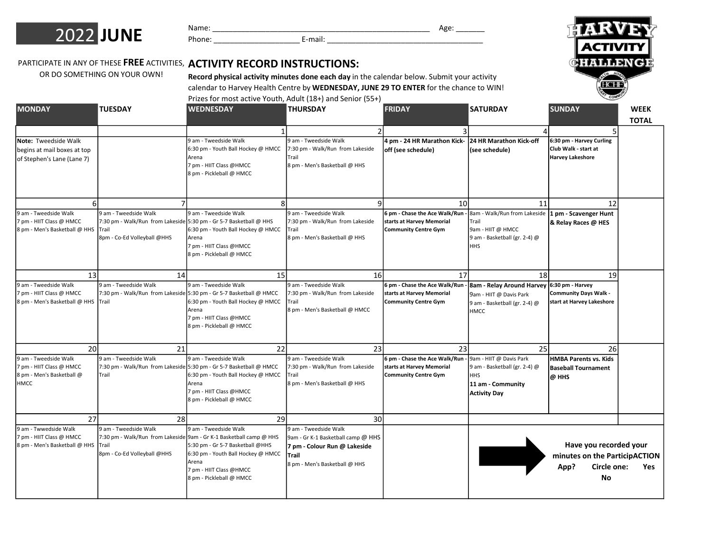

| . |   |
|---|---|
|   | . |

Name: \_\_\_\_\_\_\_\_\_\_\_\_\_\_\_\_\_\_\_\_\_\_\_\_\_\_\_\_\_\_\_\_\_\_\_\_\_\_\_\_\_\_\_\_\_\_\_\_\_\_\_\_\_ Age: \_\_\_\_\_\_\_



## PARTICIPATE IN ANY OF THESE FREE ACTIVITIES, ACTIVITY RECORD INSTRUCTIONS:

OR DO SOMETHING ON YOUR OWN!

Record physical activity minutes done each day in the calendar below. Submit your activity calendar to Harvey Health Centre by WEDNESDAY, JUNE 29 TO ENTER for the chance to WIN!

Prizes for most active Youth, Adult (18+) and Senior (55+)

| <b>MONDAY</b>                                                                                             | <b>TUESDAY</b>                                                              | <b>WEDNESDAY</b>                                                                                                                                                                                                                             | <b>THURSDAY</b>                                                                                                                                                 | <b>FRIDAY</b>                                                                                                | <b>SATURDAY</b>                                                                                                                         | <b>SUNDAY</b>                                                                                 | <b>WEEK</b>  |
|-----------------------------------------------------------------------------------------------------------|-----------------------------------------------------------------------------|----------------------------------------------------------------------------------------------------------------------------------------------------------------------------------------------------------------------------------------------|-----------------------------------------------------------------------------------------------------------------------------------------------------------------|--------------------------------------------------------------------------------------------------------------|-----------------------------------------------------------------------------------------------------------------------------------------|-----------------------------------------------------------------------------------------------|--------------|
|                                                                                                           |                                                                             |                                                                                                                                                                                                                                              | $\overline{\mathcal{L}}$                                                                                                                                        |                                                                                                              |                                                                                                                                         | 5                                                                                             | <b>TOTAL</b> |
| Note: Tweedside Walk<br>begins at mail boxes at top<br>of Stephen's Lane (Lane 7)                         |                                                                             | 9 am - Tweedside Walk<br>6:30 pm - Youth Ball Hockey @ HMCC<br>Arena<br>7 pm - HIIT Class @HMCC<br>8 pm - Pickleball @ HMCC                                                                                                                  | 9 am - Tweedside Walk<br>7:30 pm - Walk/Run from Lakeside<br>Trail<br>8 pm - Men's Basketball @ HHS                                                             | 4 pm - 24 HR Marathon Kick-<br>off (see schedule)                                                            | 24 HR Marathon Kick-off<br>(see schedule)                                                                                               | 6:30 pm - Harvey Curling<br>Club Walk - start at<br>Harvey Lakeshore                          |              |
| 9 am - Tweedside Walk<br>7 pm - HIIT Class @ HMCC<br>8 pm - Men's Basketball @ HHS                        | 7<br>9 am - Tweedside Walk<br><b>Trail</b><br>8pm - Co-Ed Volleyball @HHS   | 8<br>9 am - Tweedside Walk<br>7:30 pm - Walk/Run from Lakeside 5:30 pm - Gr 5-7 Basketball @ HHS<br>6:30 pm - Youth Ball Hockey @ HMCC<br>Arena<br>7 pm - HIIT Class @HMCC<br>8 pm - Pickleball @ HMCC                                       | $\mathsf{q}$<br>9 am - Tweedside Walk<br>7:30 pm - Walk/Run from Lakeside<br>Trail<br>8 pm - Men's Basketball @ HHS                                             | 10 <sup>1</sup><br>6 pm - Chase the Ace Walk/Run<br>starts at Harvey Memorial<br><b>Community Centre Gym</b> | 11<br>8am - Walk/Run from Lakeside   1 pm - Scavenger Hunt<br>Trail<br>9am - HIIT @ HMCC<br>9 am - Basketball (gr. 2-4) @<br><b>HHS</b> | 12<br>& Relay Races @ HES                                                                     |              |
| 13<br>9 am - Tweedside Walk<br>7 pm - HIIT Class @ HMCC<br>8 pm - Men's Basketball @ HHS Trail            | 14<br>9 am - Tweedside Walk                                                 | 15<br>9 am - Tweedside Walk<br>7:30 pm - Walk/Run from Lakeside 5:30 pm - Gr 5-7 Basketball @ HMCC<br>6:30 pm - Youth Ball Hockey @ HMCC<br>Arena<br>7 pm - HIIT Class @HMCC<br>8 pm - Pickleball @ HMCC                                     | 16<br>9 am - Tweedside Walk<br>7:30 pm - Walk/Run from Lakeside<br>Trail<br>8 pm - Men's Basketball @ HMCC                                                      | 17<br>6 pm - Chase the Ace Walk/Run<br>starts at Harvey Memorial<br><b>Community Centre Gym</b>              | 18<br><b>8am - Relay Around Harvey</b><br>9am - HIIT @ Davis Park<br>9 am - Basketball (gr. 2-4) @<br><b>HMCC</b>                       | 19<br>$6:30 \text{ pm}$ - Harvey<br><b>Community Days Walk -</b><br>start at Harvey Lakeshore |              |
| 20 <sup>1</sup><br>9 am - Tweedside Walk<br>7 pm - HIIT Class @ HMCC<br>8 pm - Men's Basketball @<br>HMCC | 21<br>9 am - Tweedside Walk<br>Trail                                        | 22<br>9 am - Tweedside Walk<br>7:30 pm - Walk/Run from Lakeside 5:30 pm - Gr 5-7 Basketball @ HMCC<br>6:30 pm - Youth Ball Hockey @ HMCC<br>Arena<br>7 pm - HIIT Class @HMCC<br>8 pm - Pickleball @ HMCC                                     | 23<br>9 am - Tweedside Walk<br>7:30 pm - Walk/Run from Lakeside<br>Trail<br>8 pm - Men's Basketball @ HHS                                                       | 23<br>6 pm - Chase the Ace Walk/Run<br>starts at Harvey Memorial<br><b>Community Centre Gym</b>              | 25<br>9am - HIIT @ Davis Park<br>9 am - Basketball (gr. 2-4) @<br><b>HHS</b><br>11 am - Community<br><b>Activity Day</b>                | 26<br><b>HMBA Parents vs. Kids</b><br><b>Baseball Tournament</b><br>@ HHS                     |              |
| 27<br>9 am - Twwedside Walk<br>7 pm - HIIT Class @ HMCC<br>8 pm - Men's Basketball @ HHS                  | 28<br>9 am - Tweedside Walk<br><b>ITrail</b><br>8pm - Co-Ed Volleyball @HHS | 29<br>9 am - Tweedside Walk<br>7:30 pm - Walk/Run from Lakeside 9am - Gr K-1 Basketball camp @ HHS<br>5:30 pm - Gr 5-7 Basketball @HHS<br>6:30 pm - Youth Ball Hockey @ HMCC<br>Arena<br>7 pm - HIIT Class @HMCC<br>8 pm - Pickleball @ HMCC | 30 <sup>1</sup><br>9 am - Tweedside Walk<br>9am - Gr K-1 Basketball camp @ HHS<br>7 pm - Colour Run @ Lakeside<br><b>Trail</b><br>8 pm - Men's Basketball @ HHS |                                                                                                              |                                                                                                                                         | Have you recorded your<br>minutes on the ParticipACTION<br>Circle one:<br>App?<br>No          | Yes          |